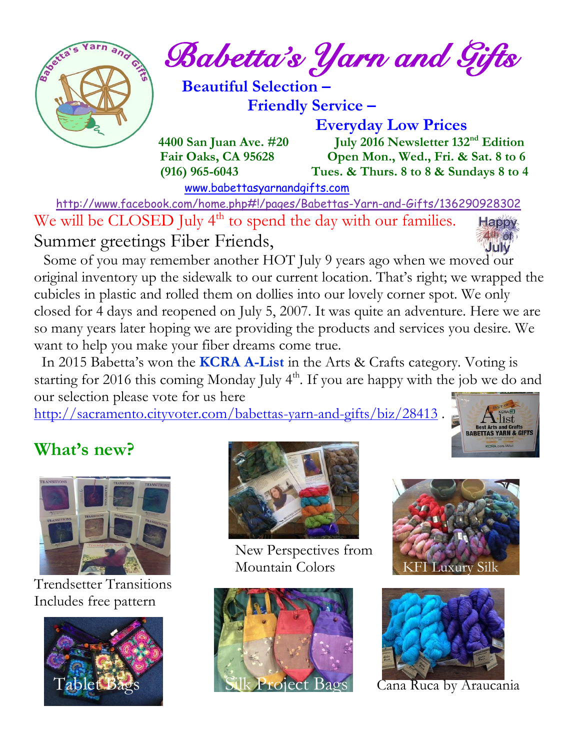

*Babetta's Yarn and Gifts* 

 **Beautiful Selection – Friendly Service –**

 **Everyday Low Prices**

 **4400 San Juan Ave. #20** July 2016 Newsletter 132<sup>nd</sup> Edition  **Fair Oaks, CA 95628 Open Mon., Wed., Fri. & Sat. 8 to 6 (916) 965-6043 Tues. & Thurs. 8 to 8 & Sundays 8 to 4** 

[www.babettasyarnandgifts.com](http://www.babettasyarnandgifts.com/)

 <http://www.facebook.com/home.php#!/pages/Babettas-Yarn-and-Gifts/136290928302> We will be CLOSED July  $4<sup>th</sup>$  to spend the day with our families. Happy  $40%$ Summer greetings Fiber Friends,

 Some of you may remember another HOT July 9 years ago when we moved our original inventory up the sidewalk to our current location. That's right; we wrapped the cubicles in plastic and rolled them on dollies into our lovely corner spot. We only closed for 4 days and reopened on July 5, 2007. It was quite an adventure. Here we are so many years later hoping we are providing the products and services you desire. We want to help you make your fiber dreams come true.

 In 2015 Babetta's won the **KCRA A-List** in the Arts & Crafts category. Voting is starting for 2016 this coming Monday July 4<sup>th</sup>. If you are happy with the job we do and our selection please vote for us here

<http://sacramento.cityvoter.com/babettas-yarn-and-gifts/biz/28413>.



# **What's new?**



Trendsetter Transitions Includes free pattern





New Perspectives from Mountain Colors KFI Luxury Silk





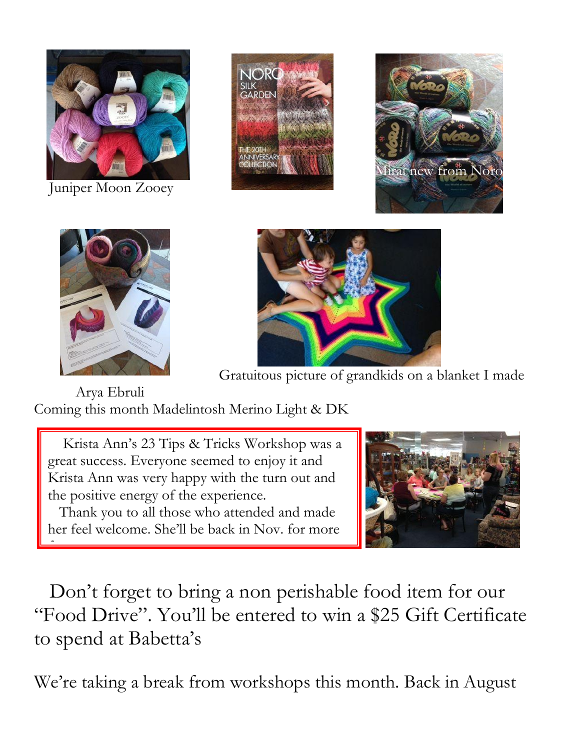

Juniper Moon Zooey







fun.



Gratuitous picture of grandkids on a blanket I made

 Arya Ebruli Coming this month Madelintosh Merino Light & DK

 Krista Ann's 23 Tips & Tricks Workshop was a great success. Everyone seemed to enjoy it and Krista Ann was very happy with the turn out and the positive energy of the experience.

 Thank you to all those who attended and made her feel welcome. She'll be back in Nov. for more



 Don't forget to bring a non perishable food item for our "Food Drive". You'll be entered to win a \$25 Gift Certificate to spend at Babetta's

We're taking a break from workshops this month. Back in August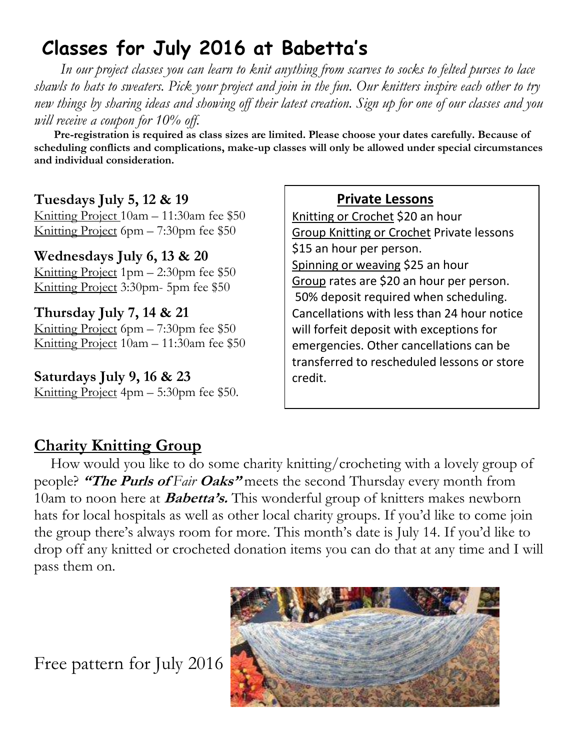# **Classes for July 2016 at Babetta's**

 *In our project classes you can learn to knit anything from scarves to socks to felted purses to lace shawls to hats to sweaters. Pick your project and join in the fun. Our knitters inspire each other to try new things by sharing ideas and showing off their latest creation. Sign up for one of our classes and you will receive a coupon for 10% off.*

 **Pre-registration is required as class sizes are limited. Please choose your dates carefully. Because of scheduling conflicts and complications, make-up classes will only be allowed under special circumstances and individual consideration.**

#### **Tuesdays July 5, 12 & 19**

Knitting Project 10am – 11:30am fee \$50 Knitting Project 6pm – 7:30pm fee \$50

#### **Wednesdays July 6, 13 & 20**

Knitting Project 1pm – 2:30pm fee \$50 Knitting Project 3:30pm- 5pm fee \$50

# **Thursday July 7, 14 & 21**

Knitting Project 6pm – 7:30pm fee \$50 Knitting Project 10am – 11:30am fee \$50

#### **Saturdays July 9, 16 & 23** Knitting Project 4pm – 5:30pm fee \$50.

#### **Private Lessons**

Knitting or Crochet \$20 an hour Group Knitting or Crochet Private lessons \$15 an hour per person. Spinning or weaving \$25 an hour Group rates are \$20 an hour per person. 50% deposit required when scheduling. Cancellations with less than 24 hour notice will forfeit deposit with exceptions for emergencies. Other cancellations can be transferred to rescheduled lessons or store credit.

### **Charity Knitting Group**

 How would you like to do some charity knitting/crocheting with a lovely group of people? **"The Purls of** *Fair* **Oaks"** meets the second Thursday every month from 10am to noon here at **Babetta's.** This wonderful group of knitters makes newborn hats for local hospitals as well as other local charity groups. If you'd like to come join the group there's always room for more. This month's date is July 14. If you'd like to drop off any knitted or crocheted donation items you can do that at any time and I will pass them on.

Free pattern for July 2016